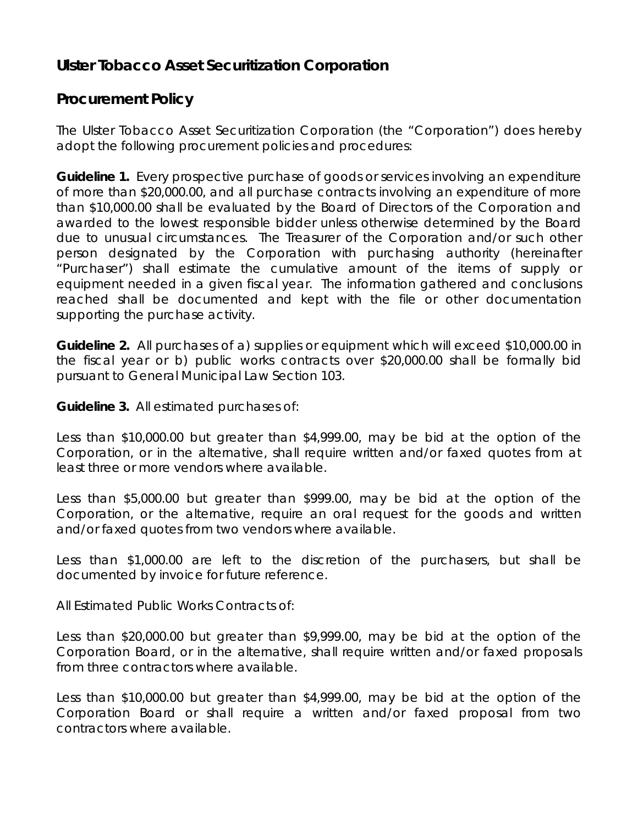## **Ulster Tobacco Asset Securitization Corporation**

## **Procurement Policy**

The Ulster Tobacco Asset Securitization Corporation (the "Corporation") does hereby adopt the following procurement policies and procedures:

**Guideline 1.** Every prospective purchase of goods or services involving an expenditure of more than \$20,000.00, and all purchase contracts involving an expenditure of more than \$10,000.00 shall be evaluated by the Board of Directors of the Corporation and awarded to the lowest responsible bidder unless otherwise determined by the Board due to unusual circumstances. The Treasurer of the Corporation and/or such other person designated by the Corporation with purchasing authority (hereinafter "Purchaser") shall estimate the cumulative amount of the items of supply or equipment needed in a given fiscal year. The information gathered and conclusions reached shall be documented and kept with the file or other documentation supporting the purchase activity.

**Guideline 2.** All purchases of a) supplies or equipment which will exceed \$10,000.00 in the fiscal year or b) public works contracts over \$20,000.00 shall be formally bid pursuant to General Municipal Law Section 103.

**Guideline 3.** All estimated purchases of:

Less than \$10,000.00 but greater than \$4,999.00, may be bid at the option of the Corporation, or in the alternative, shall require written and/or faxed quotes from at least three or more vendors where available.

Less than \$5,000.00 but greater than \$999.00, may be bid at the option of the Corporation, or the alternative, require an oral request for the goods and written and/or faxed quotes from two vendors where available.

Less than \$1,000.00 are left to the discretion of the purchasers, but shall be documented by invoice for future reference.

All Estimated Public Works Contracts of:

Less than \$20,000.00 but greater than \$9,999.00, may be bid at the option of the Corporation Board, or in the alternative, shall require written and/or faxed proposals from three contractors where available.

Less than \$10,000.00 but greater than \$4,999.00, may be bid at the option of the Corporation Board or shall require a written and/or faxed proposal from two contractors where available.